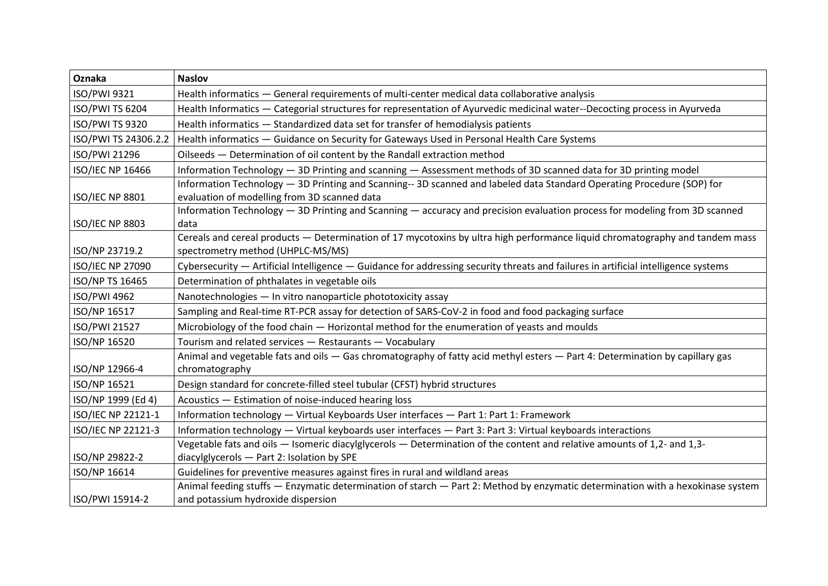| Oznaka                  | <b>Naslov</b>                                                                                                                      |
|-------------------------|------------------------------------------------------------------------------------------------------------------------------------|
| ISO/PWI 9321            | Health informatics - General requirements of multi-center medical data collaborative analysis                                      |
| ISO/PWI TS 6204         | Health Informatics - Categorial structures for representation of Ayurvedic medicinal water--Decocting process in Ayurveda          |
| ISO/PWI TS 9320         | Health informatics - Standardized data set for transfer of hemodialysis patients                                                   |
| ISO/PWI TS 24306.2.2    | Health informatics - Guidance on Security for Gateways Used in Personal Health Care Systems                                        |
| ISO/PWI 21296           | Oilseeds - Determination of oil content by the Randall extraction method                                                           |
| ISO/IEC NP 16466        | Information Technology - 3D Printing and scanning - Assessment methods of 3D scanned data for 3D printing model                    |
|                         | Information Technology - 3D Printing and Scanning-- 3D scanned and labeled data Standard Operating Procedure (SOP) for             |
| <b>ISO/IEC NP 8801</b>  | evaluation of modelling from 3D scanned data                                                                                       |
|                         | Information Technology - 3D Printing and Scanning - accuracy and precision evaluation process for modeling from 3D scanned         |
| <b>ISO/IEC NP 8803</b>  | data                                                                                                                               |
|                         | Cereals and cereal products - Determination of 17 mycotoxins by ultra high performance liquid chromatography and tandem mass       |
| ISO/NP 23719.2          | spectrometry method (UHPLC-MS/MS)                                                                                                  |
| <b>ISO/IEC NP 27090</b> | Cybersecurity - Artificial Intelligence - Guidance for addressing security threats and failures in artificial intelligence systems |
| ISO/NP TS 16465         | Determination of phthalates in vegetable oils                                                                                      |
| <b>ISO/PWI 4962</b>     | Nanotechnologies - In vitro nanoparticle phototoxicity assay                                                                       |
| ISO/NP 16517            | Sampling and Real-time RT-PCR assay for detection of SARS-CoV-2 in food and food packaging surface                                 |
| ISO/PWI 21527           | Microbiology of the food chain - Horizontal method for the enumeration of yeasts and moulds                                        |
| ISO/NP 16520            | Tourism and related services - Restaurants - Vocabulary                                                                            |
|                         | Animal and vegetable fats and oils - Gas chromatography of fatty acid methyl esters - Part 4: Determination by capillary gas       |
| ISO/NP 12966-4          | chromatography                                                                                                                     |
| ISO/NP 16521            | Design standard for concrete-filled steel tubular (CFST) hybrid structures                                                         |
| ISO/NP 1999 (Ed 4)      | Acoustics - Estimation of noise-induced hearing loss                                                                               |
| ISO/IEC NP 22121-1      | Information technology - Virtual Keyboards User interfaces - Part 1: Part 1: Framework                                             |
| ISO/IEC NP 22121-3      | Information technology - Virtual keyboards user interfaces - Part 3: Part 3: Virtual keyboards interactions                        |
|                         | Vegetable fats and oils - Isomeric diacylglycerols - Determination of the content and relative amounts of 1,2- and 1,3-            |
| ISO/NP 29822-2          | diacylglycerols - Part 2: Isolation by SPE                                                                                         |
| ISO/NP 16614            | Guidelines for preventive measures against fires in rural and wildland areas                                                       |
|                         | Animal feeding stuffs - Enzymatic determination of starch - Part 2: Method by enzymatic determination with a hexokinase system     |
| ISO/PWI 15914-2         | and potassium hydroxide dispersion                                                                                                 |